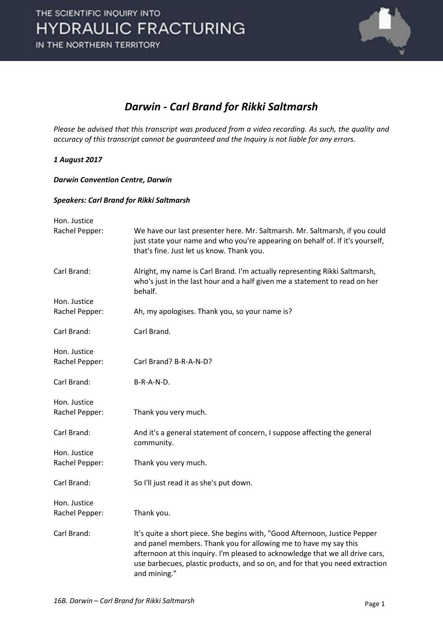

## *Darwin - Carl Brand for Rikki Saltmarsh*

*Please be advised that this transcript was produced from a video recording. As such, the quality and accuracy of this transcript cannot be guaranteed and the Inquiry is not liable for any errors.*

## *1 August 2017*

*Darwin Convention Centre, Darwin* 

## *Speakers: Carl Brand for Rikki Saltmarsh*

| Hon. Justice   |                                                                                                                                                                                                                                                                                                                                 |
|----------------|---------------------------------------------------------------------------------------------------------------------------------------------------------------------------------------------------------------------------------------------------------------------------------------------------------------------------------|
| Rachel Pepper: | We have our last presenter here. Mr. Saltmarsh. Mr. Saltmarsh, if you could<br>just state your name and who you're appearing on behalf of. If it's yourself,<br>that's fine. Just let us know. Thank you.                                                                                                                       |
| Carl Brand:    | Alright, my name is Carl Brand. I'm actually representing Rikki Saltmarsh,<br>who's just in the last hour and a half given me a statement to read on her<br>behalf.                                                                                                                                                             |
| Hon. Justice   |                                                                                                                                                                                                                                                                                                                                 |
| Rachel Pepper: | Ah, my apologises. Thank you, so your name is?                                                                                                                                                                                                                                                                                  |
| Carl Brand:    | Carl Brand.                                                                                                                                                                                                                                                                                                                     |
| Hon. Justice   |                                                                                                                                                                                                                                                                                                                                 |
| Rachel Pepper: | Carl Brand? B-R-A-N-D?                                                                                                                                                                                                                                                                                                          |
| Carl Brand:    | $B-R-A-N-D.$                                                                                                                                                                                                                                                                                                                    |
| Hon. Justice   |                                                                                                                                                                                                                                                                                                                                 |
| Rachel Pepper: | Thank you very much.                                                                                                                                                                                                                                                                                                            |
| Carl Brand:    | And it's a general statement of concern, I suppose affecting the general<br>community.                                                                                                                                                                                                                                          |
| Hon. Justice   |                                                                                                                                                                                                                                                                                                                                 |
| Rachel Pepper: | Thank you very much.                                                                                                                                                                                                                                                                                                            |
| Carl Brand:    | So I'll just read it as she's put down.                                                                                                                                                                                                                                                                                         |
| Hon. Justice   |                                                                                                                                                                                                                                                                                                                                 |
| Rachel Pepper: | Thank you.                                                                                                                                                                                                                                                                                                                      |
| Carl Brand:    | It's quite a short piece. She begins with, "Good Afternoon, Justice Pepper<br>and panel members. Thank you for allowing me to have my say this<br>afternoon at this inquiry. I'm pleased to acknowledge that we all drive cars,<br>use barbecues, plastic products, and so on, and for that you need extraction<br>and mining." |
|                |                                                                                                                                                                                                                                                                                                                                 |